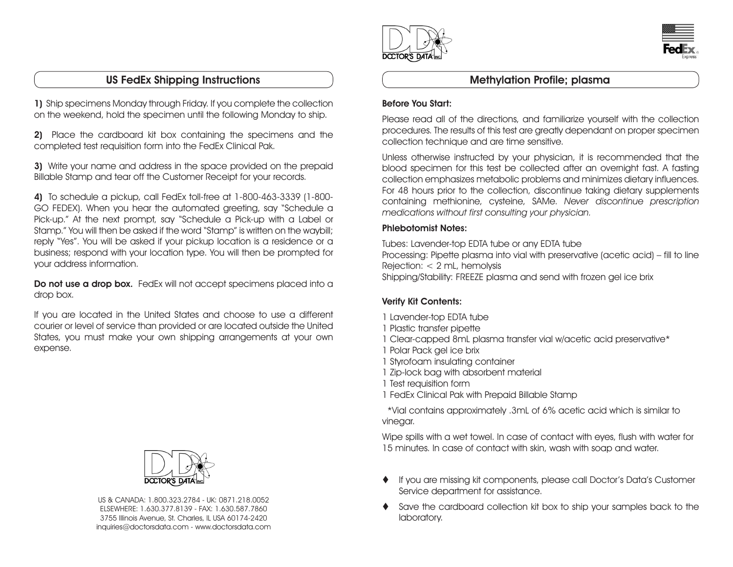# US FedEx Shipping Instructions and Methylation Profile; plasma

1) Ship specimens Monday through Friday. If you complete the collection on the weekend, hold the specimen until the following Monday to ship.

2) Place the cardboard kit box containing the specimens and the completed test requisition form into the FedEx Clinical Pak.

3) Write your name and address in the space provided on the prepaid Billable Stamp and tear off the Customer Receipt for your records.

4) To schedule a pickup, call FedEx toll-free at 1-800-463-3339 (1-800- GO FEDEX). When you hear the automated greeting, say "Schedule a Pick-up." At the next prompt, say "Schedule a Pick-up with a Label or Stamp." You will then be asked if the word "Stamp" is written on the waybill; reply "Yes". You will be asked if your pickup location is a residence or a business; respond with your location type. You will then be prompted for your address information.

Do not use a drop box. FedEx will not accept specimens placed into a drop box.

If you are located in the United States and choose to use a different courier or level of service than provided or are located outside the United States, you must make your own shipping arrangements at your own expense.



US & CANADA: 1.800.323.2784 - UK: 0871.218.0052 ELSEWHERE: 1.630.377.8139 - FAX: 1.630.587.7860 3755 Illinois Avenue, St. Charles, IL USA 60174-2420 inquiries@doctorsdata.com - www.doctorsdata.com





#### Before You Start:

Please read all of the directions, and familiarize yourself with the collection procedures. The results of this test are greatly dependant on proper specimen collection technique and are time sensitive.

Unless otherwise instructed by your physician, it is recommended that the blood specimen for this test be collected after an overnight fast. A fasting collection emphasizes metabolic problems and minimizes dietary influences. For 48 hours prior to the collection, discontinue taking dietary supplements containing methionine, cysteine, SAMe. Never discontinue prescription medications without first consulting your physician.

### Phlebotomist Notes:

Tubes: Lavender-top EDTA tube or any EDTA tube Processing: Pipette plasma into vial with preservative (acetic acid) – fill to line Rejection: < 2 mL, hemolysis Shipping/Stability: FREEZE plasma and send with frozen gel ice brix

## Verify Kit Contents:

- 1 Lavender-top EDTA tube
- 1 Plastic transfer pipette
- 1 Clear-capped 8mL plasma transfer vial w/acetic acid preservative\*
- 1 Polar Pack gel ice brix
- 1 Styrofoam insulating container
- 1 Zip-lock bag with absorbent material
- 1 Test requisition form
- 1 FedEx Clinical Pak with Prepaid Billable Stamp

 \*Vial contains approximately .3mL of 6% acetic acid which is similar to vinegar.

Wipe spills with a wet towel. In case of contact with eyes, flush with water for 15 minutes. In case of contact with skin, wash with soap and water.

- If you are missing kit components, please call Doctor's Data's Customer Service department for assistance.
- Save the cardboard collection kit box to ship your samples back to the laboratory.